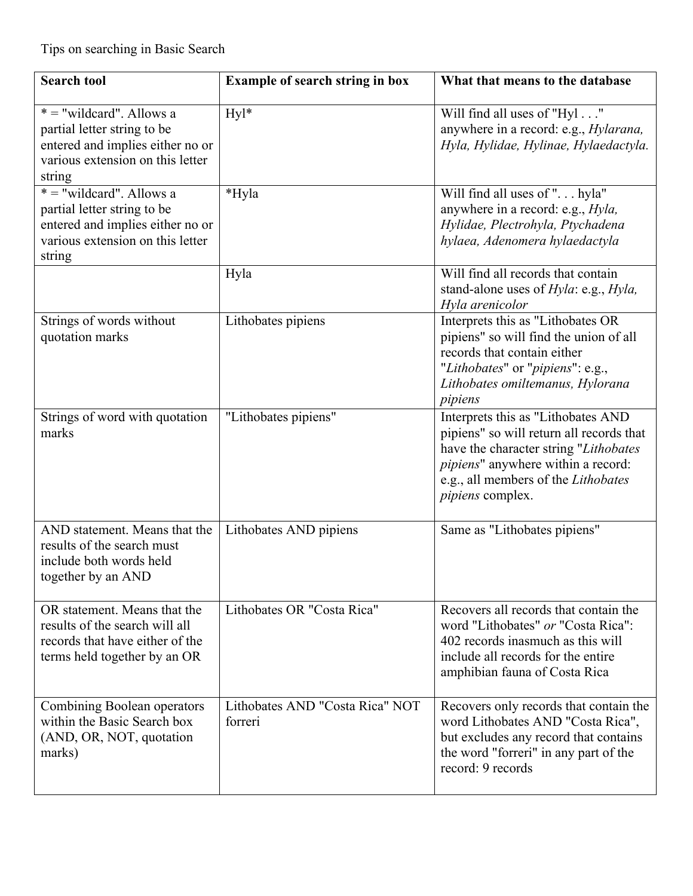| <b>Search tool</b>                                                                                                                          | <b>Example of search string in box</b>     | What that means to the database                                                                                                                                                                                                 |
|---------------------------------------------------------------------------------------------------------------------------------------------|--------------------------------------------|---------------------------------------------------------------------------------------------------------------------------------------------------------------------------------------------------------------------------------|
| $* = "wildcard".$ Allows a<br>partial letter string to be<br>entered and implies either no or<br>various extension on this letter<br>string | Hyl*                                       | Will find all uses of "Hyl"<br>anywhere in a record: e.g., <i>Hylarana</i> ,<br>Hyla, Hylidae, Hylinae, Hylaedactyla.                                                                                                           |
| $* = "wildcard".$ Allows a<br>partial letter string to be<br>entered and implies either no or<br>various extension on this letter<br>string | *Hyla                                      | Will find all uses of " hyla"<br>anywhere in a record: e.g., <i>Hyla</i> ,<br>Hylidae, Plectrohyla, Ptychadena<br>hylaea, Adenomera hylaedactyla                                                                                |
|                                                                                                                                             | Hyla                                       | Will find all records that contain<br>stand-alone uses of <i>Hyla</i> : e.g., <i>Hyla</i> ,<br>Hyla arenicolor                                                                                                                  |
| Strings of words without<br>quotation marks                                                                                                 | Lithobates pipiens                         | Interprets this as "Lithobates OR<br>pipiens" so will find the union of all<br>records that contain either<br>"Lithobates" or "pipiens": e.g.,<br>Lithobates omiltemanus, Hylorana<br>pipiens                                   |
| Strings of word with quotation<br>marks                                                                                                     | "Lithobates pipiens"                       | Interprets this as "Lithobates AND<br>pipiens" so will return all records that<br>have the character string "Lithobates<br>pipiens" anywhere within a record:<br>e.g., all members of the Lithobates<br><i>pipiens</i> complex. |
| AND statement. Means that the<br>results of the search must<br>include both words held<br>together by an AND                                | Lithobates AND pipiens                     | Same as "Lithobates pipiens"                                                                                                                                                                                                    |
| OR statement. Means that the<br>results of the search will all<br>records that have either of the<br>terms held together by an OR           | Lithobates OR "Costa Rica"                 | Recovers all records that contain the<br>word "Lithobates" or "Costa Rica":<br>402 records inasmuch as this will<br>include all records for the entire<br>amphibian fauna of Costa Rica                                         |
| Combining Boolean operators<br>within the Basic Search box<br>(AND, OR, NOT, quotation<br>marks)                                            | Lithobates AND "Costa Rica" NOT<br>forreri | Recovers only records that contain the<br>word Lithobates AND "Costa Rica",<br>but excludes any record that contains<br>the word "forreri" in any part of the<br>record: 9 records                                              |